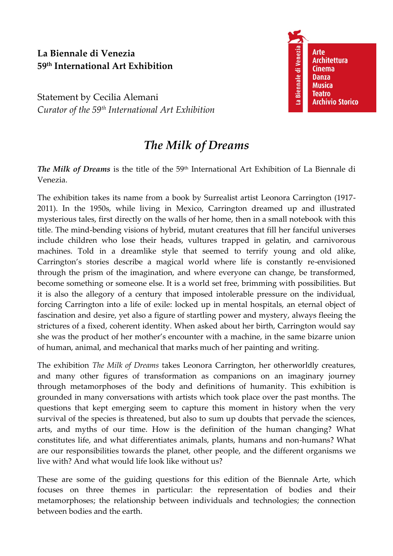## **La Biennale di Venezia 59th International Art Exhibition**

Statement by Cecilia Alemani *Curator of the 59th International Art Exhibition*



## *The Milk of Dreams*

*The Milk of Dreams* is the title of the 59<sup>th</sup> International Art Exhibition of La Biennale di Venezia.

The exhibition takes its name from a book by Surrealist artist Leonora Carrington (1917- 2011). In the 1950s, while living in Mexico, Carrington dreamed up and illustrated mysterious tales, first directly on the walls of her home, then in a small notebook with this title. The mind-bending visions of hybrid, mutant creatures that fill her fanciful universes include children who lose their heads, vultures trapped in gelatin, and carnivorous machines. Told in a dreamlike style that seemed to terrify young and old alike, Carrington's stories describe a magical world where life is constantly re-envisioned through the prism of the imagination, and where everyone can change, be transformed, become something or someone else. It is a world set free, brimming with possibilities. But it is also the allegory of a century that imposed intolerable pressure on the individual, forcing Carrington into a life of exile: locked up in mental hospitals, an eternal object of fascination and desire, yet also a figure of startling power and mystery, always fleeing the strictures of a fixed, coherent identity. When asked about her birth, Carrington would say she was the product of her mother's encounter with a machine, in the same bizarre union of human, animal, and mechanical that marks much of her painting and writing.

The exhibition *The Milk of Dreams* takes Leonora Carrington, her otherworldly creatures, and many other figures of transformation as companions on an imaginary journey through metamorphoses of the body and definitions of humanity. This exhibition is grounded in many conversations with artists which took place over the past months. The questions that kept emerging seem to capture this moment in history when the very survival of the species is threatened, but also to sum up doubts that pervade the sciences, arts, and myths of our time. How is the definition of the human changing? What constitutes life, and what differentiates animals, plants, humans and non-humans? What are our responsibilities towards the planet, other people, and the different organisms we live with? And what would life look like without us?

These are some of the guiding questions for this edition of the Biennale Arte, which focuses on three themes in particular: the representation of bodies and their metamorphoses; the relationship between individuals and technologies; the connection between bodies and the earth.